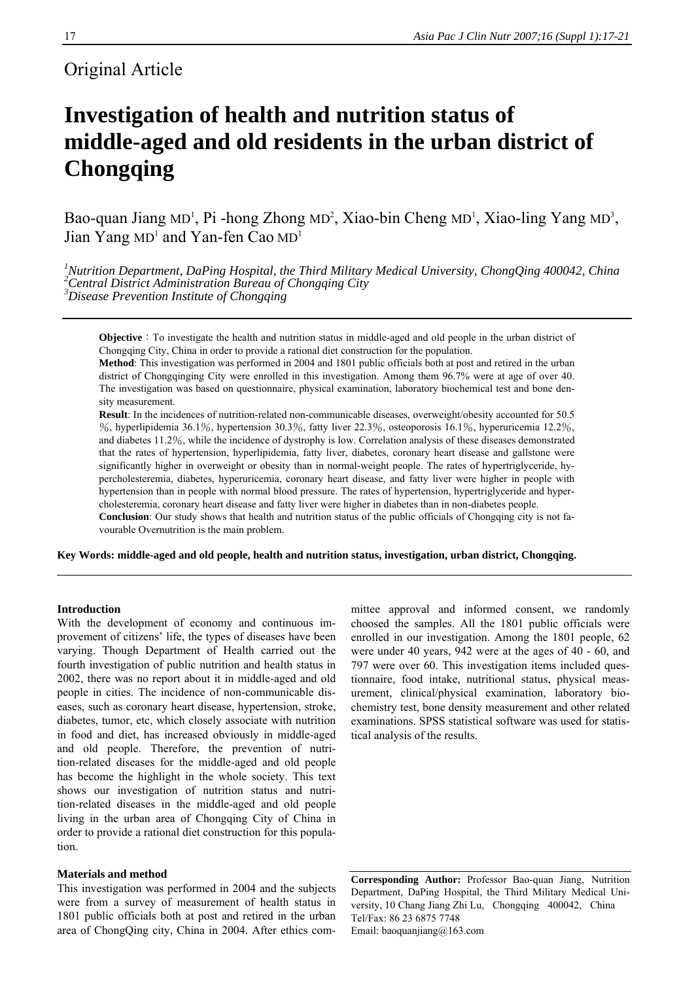## Original Article

# **Investigation of health and nutrition status of middle-aged and old residents in the urban district of Chongqing**

Bao-quan Jiang MD<sup>1</sup>, Pi -hong Zhong MD<sup>2</sup>, Xiao-bin Cheng MD<sup>1</sup>, Xiao-ling Yang MD<sup>3</sup>, Jian Yang MD<sup>1</sup> and Yan-fen Cao MD<sup>1</sup>

<sup>1</sup>Nutrition Department, DaPing Hospital, the Third Military Medical University, ChongQing 400042, China<br><sup>2</sup>Central District Administration Bureau of Chongqing City *3 Disease Prevention Institute of Chongqing* 

**Objective**: To investigate the health and nutrition status in middle-aged and old people in the urban district of Chongqing City, China in order to provide a rational diet construction for the population.

**Method**: This investigation was performed in 2004 and 1801 public officials both at post and retired in the urban district of Chongqinging City were enrolled in this investigation. Among them 96.7% were at age of over 40. The investigation was based on questionnaire, physical examination, laboratory biochemical test and bone density measurement.

**Result**: In the incidences of nutrition-related non-communicable diseases, overweight/obesity accounted for 50.5 %, hyperlipidemia 36.1%, hypertension 30.3%, fatty liver 22.3%, osteoporosis 16.1%, hyperuricemia 12.2%, and diabetes 11.2%, while the incidence of dystrophy is low. Correlation analysis of these diseases demonstrated that the rates of hypertension, hyperlipidemia, fatty liver, diabetes, coronary heart disease and gallstone were significantly higher in overweight or obesity than in normal-weight people. The rates of hypertriglyceride, hypercholesteremia, diabetes, hyperuricemia, coronary heart disease, and fatty liver were higher in people with hypertension than in people with normal blood pressure. The rates of hypertension, hypertriglyceride and hypercholesteremia, coronary heart disease and fatty liver were higher in diabetes than in non-diabetes people.

**Conclusion**: Our study shows that health and nutrition status of the public officials of Chongqing city is not favourable Overnutrition is the main problem.

**Key Words: middle-aged and old people, health and nutrition status, investigation, urban district, Chongqing.** 

#### **Introduction**

With the development of economy and continuous improvement of citizens' life, the types of diseases have been varying. Though Department of Health carried out the fourth investigation of public nutrition and health status in 2002, there was no report about it in middle-aged and old people in cities. The incidence of non-communicable diseases, such as coronary heart disease, hypertension, stroke, diabetes, tumor, etc, which closely associate with nutrition in food and diet, has increased obviously in middle-aged and old people. Therefore, the prevention of nutrition-related diseases for the middle-aged and old people has become the highlight in the whole society. This text shows our investigation of nutrition status and nutrition-related diseases in the middle-aged and old people living in the urban area of Chongqing City of China in order to provide a rational diet construction for this population.

### **Materials and method**

This investigation was performed in 2004 and the subjects were from a survey of measurement of health status in 1801 public officials both at post and retired in the urban area of ChongQing city, China in 2004. After ethics committee approval and informed consent, we randomly choosed the samples. All the 1801 public officials were enrolled in our investigation. Among the 1801 people, 62 were under 40 years, 942 were at the ages of 40 - 60, and 797 were over 60. This investigation items included questionnaire, food intake, nutritional status, physical measurement, clinical/physical examination, laboratory biochemistry test, bone density measurement and other related examinations. SPSS statistical software was used for statistical analysis of the results.

**Corresponding Author:** Professor Bao-quan Jiang, Nutrition Department, DaPing Hospital, the Third Military Medical University, 10 Chang Jiang Zhi Lu, Chongqing 400042, China Tel/Fax: 86 23 6875 7748 Email: baoquanjiang@163.com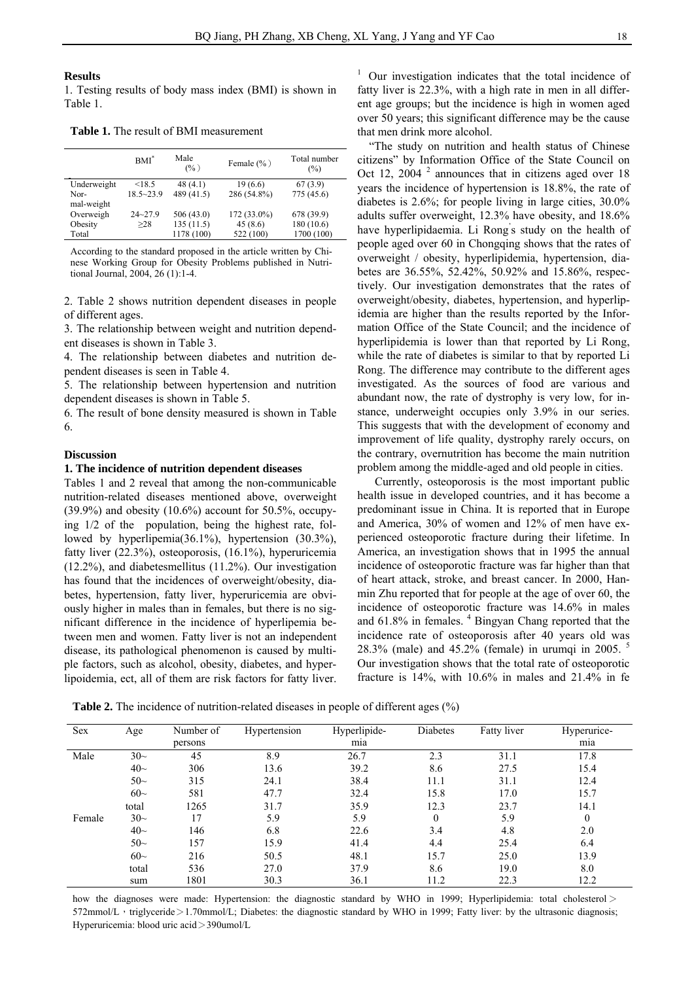#### **Results**

1. Testing results of body mass index (BMI) is shown in Table 1.

**Table 1.** The result of BMI measurement

|             | $BM*$         | Male<br>(%) | Female $(\% )$ | Total number<br>$\frac{6}{2}$ |
|-------------|---------------|-------------|----------------|-------------------------------|
| Underweight | < 18.5        | 48(4.1)     | 19(6.6)        | 67(3.9)                       |
| Nor-        | $18.5 - 23.9$ | 489 (41.5)  | 286 (54.8%)    | 775 (45.6)                    |
| mal-weight  |               |             |                |                               |
| Overweigh   | $24 - 27.9$   | 506(43.0)   | 172 (33.0%)    | 678 (39.9)                    |
| Obesity     | >28           | 135(11.5)   | 45(8.6)        | 180 (10.6)                    |
| Total       |               | 1178 (100)  | 522 (100)      | 1700 (100)                    |

According to the standard proposed in the article written by Chinese Working Group for Obesity Problems published in Nutritional Journal, 2004, 26 (1):1-4.

2. Table 2 shows nutrition dependent diseases in people of different ages.

3. The relationship between weight and nutrition dependent diseases is shown in Table 3.

4. The relationship between diabetes and nutrition dependent diseases is seen in Table 4.

5. The relationship between hypertension and nutrition dependent diseases is shown in Table 5.

6. The result of bone density measured is shown in Table 6.

#### **Discussion**

#### **1. The incidence of nutrition dependent diseases**

Tables 1 and 2 reveal that among the non-communicable nutrition-related diseases mentioned above, overweight  $(39.9\%)$  and obesity  $(10.6\%)$  account for 50.5%, occupying 1/2 of the population, being the highest rate, followed by hyperlipemia(36.1%), hypertension (30.3%), fatty liver (22.3%), osteoporosis, (16.1%), hyperuricemia (12.2%), and diabetesmellitus (11.2%). Our investigation has found that the incidences of overweight/obesity, diabetes, hypertension, fatty liver, hyperuricemia are obviously higher in males than in females, but there is no significant difference in the incidence of hyperlipemia between men and women. Fatty liver is not an independent disease, its pathological phenomenon is caused by multiple factors, such as alcohol, obesity, diabetes, and hyperlipoidemia, ect, all of them are risk factors for fatty liver.

 $1$  Our investigation indicates that the total incidence of fatty liver is 22.3%, with a high rate in men in all different age groups; but the incidence is high in women aged over 50 years; this significant difference may be the cause that men drink more alcohol.

"The study on nutrition and health status of Chinese citizens" by Information Office of the State Council on Oct 12, 2004 $^2$  announces that in citizens aged over 18 years the incidence of hypertension is 18.8%, the rate of diabetes is 2.6%; for people living in large cities, 30.0% adults suffer overweight, 12.3% have obesity, and 18.6% have hyperlipidaemia. Li Rong' s study on the health of people aged over 60 in Chongqing shows that the rates of overweight / obesity, hyperlipidemia, hypertension, diabetes are 36.55%, 52.42%, 50.92% and 15.86%, respectively. Our investigation demonstrates that the rates of overweight/obesity, diabetes, hypertension, and hyperlipidemia are higher than the results reported by the Information Office of the State Council; and the incidence of hyperlipidemia is lower than that reported by Li Rong, while the rate of diabetes is similar to that by reported Li Rong. The difference may contribute to the different ages investigated. As the sources of food are various and abundant now, the rate of dystrophy is very low, for instance, underweight occupies only 3.9% in our series. This suggests that with the development of economy and improvement of life quality, dystrophy rarely occurs, on the contrary, overnutrition has become the main nutrition problem among the middle-aged and old people in cities.

 Currently, osteoporosis is the most important public health issue in developed countries, and it has become a predominant issue in China. It is reported that in Europe and America, 30% of women and 12% of men have experienced osteoporotic fracture during their lifetime. In America, an investigation shows that in 1995 the annual incidence of osteoporotic fracture was far higher than that of heart attack, stroke, and breast cancer. In 2000, Hanmin Zhu reported that for people at the age of over 60, the incidence of osteoporotic fracture was 14.6% in males and  $61.8\%$  in females.  $4$  Bingyan Chang reported that the incidence rate of osteoporosis after 40 years old was 28.3% (male) and 45.2% (female) in urumqi in 2005. <sup>5</sup> Our investigation shows that the total rate of osteoporotic fracture is 14%, with 10.6% in males and 21.4% in fe

**Table 2.** The incidence of nutrition-related diseases in people of different ages (%)

| Sex    | Age      | Number of | Hypertension | Hyperlipide- | Diabetes | Fatty liver | Hyperurice- |
|--------|----------|-----------|--------------|--------------|----------|-------------|-------------|
|        |          | persons   |              | mia          |          |             | mia         |
| Male   | $30-$    | 45        | 8.9          | 26.7         | 2.3      | 31.1        | 17.8        |
|        | $40\sim$ | 306       | 13.6         | 39.2         | 8.6      | 27.5        | 15.4        |
|        | $50-$    | 315       | 24.1         | 38.4         | 11.1     | 31.1        | 12.4        |
|        | $60-$    | 581       | 47.7         | 32.4         | 15.8     | 17.0        | 15.7        |
|        | total    | 1265      | 31.7         | 35.9         | 12.3     | 23.7        | 14.1        |
| Female | $30-$    | 17        | 5.9          | 5.9          | $\Omega$ | 5.9         | $\Omega$    |
|        | $40-$    | 146       | 6.8          | 22.6         | 3.4      | 4.8         | 2.0         |
|        | $50-$    | 157       | 15.9         | 41.4         | 4.4      | 25.4        | 6.4         |
|        | $60-$    | 216       | 50.5         | 48.1         | 15.7     | 25.0        | 13.9        |
|        | total    | 536       | 27.0         | 37.9         | 8.6      | 19.0        | 8.0         |
|        | sum      | 1801      | 30.3         | 36.1         | 11.2     | 22.3        | 12.2        |

how the diagnoses were made: Hypertension: the diagnostic standard by WHO in 1999; Hyperlipidemia: total cholesterol > 572mmol/L, triglyceride>1.70mmol/L; Diabetes: the diagnostic standard by WHO in 1999; Fatty liver: by the ultrasonic diagnosis; Hyperuricemia: blood uric acid>390umol/L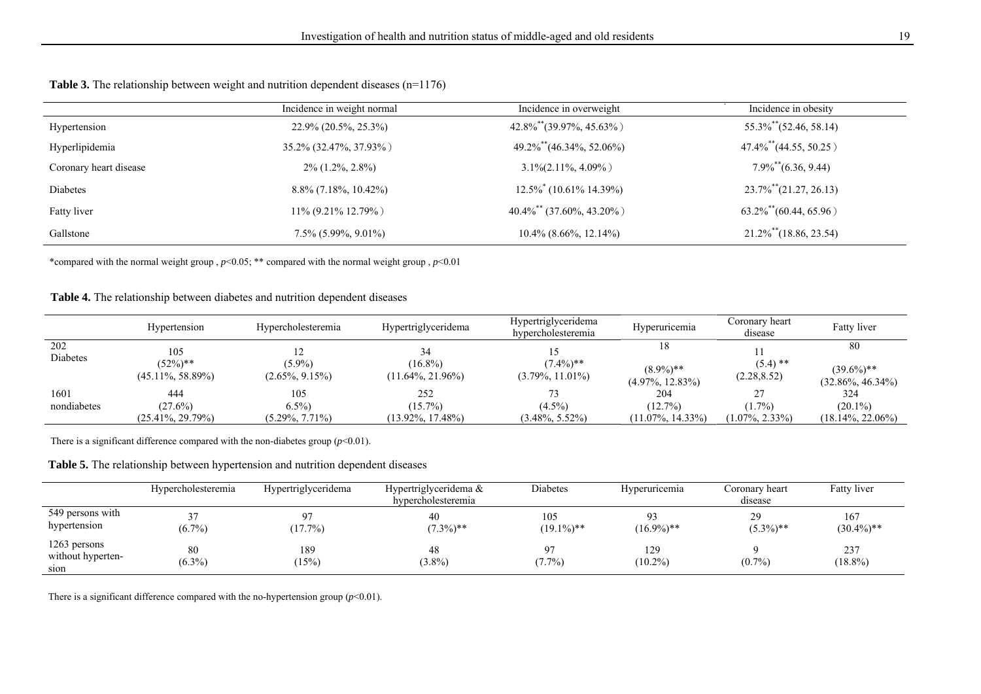| <b>Table 3.</b> The relationship between weight and nutrition dependent diseases $(n=1176)$ |  |  |  |
|---------------------------------------------------------------------------------------------|--|--|--|
|---------------------------------------------------------------------------------------------|--|--|--|

|                        | Incidence in weight normal | Incidence in overweight                     | Incidence in obesity                    |
|------------------------|----------------------------|---------------------------------------------|-----------------------------------------|
| Hypertension           | 22.9% (20.5%, 25.3%)       | $42.8\%$ <sup>**</sup> $(39.97\%, 45.63\%)$ | $55.3\%$ (52.46, 58.14)                 |
| Hyperlipidemia         | 35.2% (32.47%, 37.93%)     | 49.2%**(46.34%, 52.06%)                     | $47.4\%$ <sup>**</sup> $(44.55, 50.25)$ |
| Coronary heart disease | $2\%$ (1.2%, 2.8%)         | $3.1\% (2.11\%, 4.09\%)$                    | $7.9\%$ <sup>**</sup> $(6.36, 9.44)$    |
| Diabetes               | $8.8\%$ (7.18%, 10.42%)    | $12.5\%$ <sup>*</sup> (10.61% 14.39%)       | $23.7\%$ <sup>**</sup> $(21.27, 26.13)$ |
| Fatty liver            | $11\%$ (9.21% 12.79%)      | $40.4\%$ <sup>**</sup> (37.60%, 43.20%)     | $63.2\%$ <sup>**</sup> $(60.44, 65.96)$ |
| Gallstone              | $7.5\%$ (5.99%, 9.01%)     | $10.4\%$ (8.66%, 12.14%)                    | $21.2\%$ (18.86, 23.54)                 |

\*compared with the normal weight group , *p*<0.05; \*\* compared with the normal weight group , *p*<0.01

| <b>Table 4.</b> The relationship between diabetes and nutrition dependent diseases |  |  |
|------------------------------------------------------------------------------------|--|--|
|------------------------------------------------------------------------------------|--|--|

|                     | Hypertension                               | Hypercholesteremia                   | Hypertriglyceridema                       | Hypertriglyceridema<br>hypercholesteremia | Hyperuricemia                             | Coronary heart<br>disease       | Fatty liver                                 |
|---------------------|--------------------------------------------|--------------------------------------|-------------------------------------------|-------------------------------------------|-------------------------------------------|---------------------------------|---------------------------------------------|
| 202<br>Diabetes     | 105<br>$(52\%)$ **<br>$(45.11\%, 58.89\%)$ | $(5.9\%)$<br>$(2.65\%, 9.15\%)$      | $(16.8\%)$<br>$(11.64\%, 21.96\%)$        | $(7.4\%)$ **<br>$(3.79\%, 11.01\%)$       | 18<br>$(8.9\%)$ **<br>$(4.97\%, 12.83\%)$ | $(5.4)$ **<br>(2.28, 8.52)      | 80<br>$(39.6\%)$ **<br>$(32.86\%, 46.34\%)$ |
| 1601<br>nondiabetes | 444<br>$(27.6\%)$<br>$(25.41\%, 29.79\%)$  | 105<br>$6.5\%$<br>$(5.29\%, 7.71\%)$ | 252<br>$(15.7\%)$<br>$(13.92\%, 17.48\%)$ | 73<br>$(4.5\%)$<br>$(3.48\%, 5.52\%)$     | 204<br>(12.7%)<br>$(11.07\%, 14.33\%)$    | $(1.7\%)$<br>$(1.07\%, 2.33\%)$ | 324<br>$(20.1\%)$<br>$(18.14\%, 22.06\%)$   |

There is a significant difference compared with the non-diabetes group  $(p<0.01)$ .

**Table 5.** The relationship between hypertension and nutrition dependent diseases

|                                           | Hypercholesteremia | Hypertriglyceridema | Hypertriglyceridema &<br>hypercholesteremia | Diabetes             | Hyperuricemia     | Coronary heart<br>disease | Fatty liver          |
|-------------------------------------------|--------------------|---------------------|---------------------------------------------|----------------------|-------------------|---------------------------|----------------------|
| 549 persons with<br>hypertension          | $(6.7\%)$          | 07<br>(17.7%)       | 40<br>$(7.3\%)$ **                          | 105<br>$(19.1\%)$ ** | $(16.9\%)$ **     | 29<br>$(5.3\%)$ **        | 167<br>$(30.4\%)$ ** |
| 1263 persons<br>without hyperten-<br>sion | 80<br>$(6.3\%)$    | 189<br>(15%)        | 48<br>$(3.8\%)$                             | 97<br>$(7.7\%)$      | 129<br>$(10.2\%)$ | $(0.7\%)$                 | 237<br>$(18.8\%)$    |

There is a significant difference compared with the no-hypertension group  $(p<0.01)$ .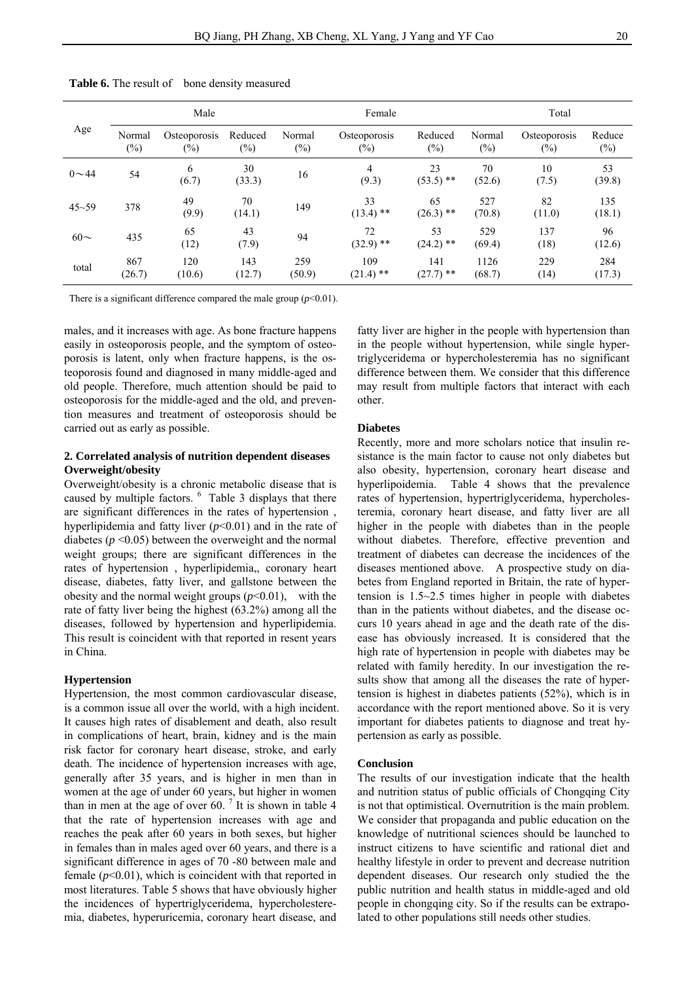| Age       | Male             |                        |                   |                  | Female                  |                    |                  | Total                  |                  |
|-----------|------------------|------------------------|-------------------|------------------|-------------------------|--------------------|------------------|------------------------|------------------|
|           | Normal<br>$(\%)$ | Osteoporosis<br>$(\%)$ | Reduced<br>$(\%)$ | Normal<br>$(\%)$ | Osteoporosis<br>$(\%)$  | Reduced<br>$(\%)$  | Normal<br>$(\%)$ | Osteoporosis<br>$(\%)$ | Reduce<br>$(\%)$ |
| $0 - 44$  | 54               | 6<br>(6.7)             | 30<br>(33.3)      | 16               | $\overline{4}$<br>(9.3) | 23<br>$(53.5)$ **  | 70<br>(52.6)     | 10<br>(7.5)            | 53<br>(39.8)     |
| $45 - 59$ | 378              | 49<br>(9.9)            | 70<br>(14.1)      | 149              | 33<br>$(13.4)$ **       | 65<br>$(26.3)$ **  | 527<br>(70.8)    | 82<br>(11.0)           | 135<br>(18.1)    |
| $60\sim$  | 435              | 65<br>(12)             | 43<br>(7.9)       | 94               | 72<br>$(32.9)$ **       | 53<br>$(24.2)$ **  | 529<br>(69.4)    | 137<br>(18)            | 96<br>(12.6)     |
| total     | 867<br>(26.7)    | 120<br>(10.6)          | 143<br>(12.7)     | 259<br>(50.9)    | 109<br>$(21.4)$ **      | 141<br>$(27.7)$ ** | 1126<br>(68.7)   | 229<br>(14)            | 284<br>(17.3)    |

Table 6. The result of bone density measured

There is a significant difference compared the male group  $(p<0.01)$ .

males, and it increases with age. As bone fracture happens easily in osteoporosis people, and the symptom of osteoporosis is latent, only when fracture happens, is the osteoporosis found and diagnosed in many middle-aged and old people. Therefore, much attention should be paid to osteoporosis for the middle-aged and the old, and prevention measures and treatment of osteoporosis should be carried out as early as possible.

#### **2. Correlated analysis of nutrition dependent diseases Overweight/obesity**

Overweight/obesity is a chronic metabolic disease that is caused by multiple factors. <sup>6</sup> Table 3 displays that there are significant differences in the rates of hypertension , hyperlipidemia and fatty liver  $(p<0.01)$  and in the rate of diabetes  $(p \le 0.05)$  between the overweight and the normal weight groups; there are significant differences in the rates of hypertension , hyperlipidemia,, coronary heart disease, diabetes, fatty liver, and gallstone between the obesity and the normal weight groups  $(p<0.01)$ , with the rate of fatty liver being the highest (63.2%) among all the diseases, followed by hypertension and hyperlipidemia. This result is coincident with that reported in resent years in China.

#### **Hypertension**

Hypertension, the most common cardiovascular disease, is a common issue all over the world, with a high incident. It causes high rates of disablement and death, also result in complications of heart, brain, kidney and is the main risk factor for coronary heart disease, stroke, and early death. The incidence of hypertension increases with age, generally after 35 years, and is higher in men than in women at the age of under 60 years, but higher in women than in men at the age of over 60.<sup>7</sup> It is shown in table 4 that the rate of hypertension increases with age and reaches the peak after 60 years in both sexes, but higher in females than in males aged over 60 years, and there is a significant difference in ages of 70 -80 between male and female  $(p<0.01)$ , which is coincident with that reported in most literatures. Table 5 shows that have obviously higher the incidences of hypertriglyceridema, hypercholesteremia, diabetes, hyperuricemia, coronary heart disease, and

fatty liver are higher in the people with hypertension than in the people without hypertension, while single hypertriglyceridema or hypercholesteremia has no significant difference between them. We consider that this difference may result from multiple factors that interact with each other.

#### **Diabetes**

Recently, more and more scholars notice that insulin resistance is the main factor to cause not only diabetes but also obesity, hypertension, coronary heart disease and hyperlipoidemia. Table 4 shows that the prevalence rates of hypertension, hypertriglyceridema, hypercholesteremia, coronary heart disease, and fatty liver are all higher in the people with diabetes than in the people without diabetes. Therefore, effective prevention and treatment of diabetes can decrease the incidences of the diseases mentioned above. A prospective study on diabetes from England reported in Britain, the rate of hypertension is 1.5~2.5 times higher in people with diabetes than in the patients without diabetes, and the disease occurs 10 years ahead in age and the death rate of the disease has obviously increased. It is considered that the high rate of hypertension in people with diabetes may be related with family heredity. In our investigation the results show that among all the diseases the rate of hypertension is highest in diabetes patients (52%), which is in accordance with the report mentioned above. So it is very important for diabetes patients to diagnose and treat hypertension as early as possible.

#### **Conclusion**

The results of our investigation indicate that the health and nutrition status of public officials of Chongqing City is not that optimistical. Overnutrition is the main problem. We consider that propaganda and public education on the knowledge of nutritional sciences should be launched to instruct citizens to have scientific and rational diet and healthy lifestyle in order to prevent and decrease nutrition dependent diseases. Our research only studied the the public nutrition and health status in middle-aged and old people in chongqing city. So if the results can be extrapolated to other populations still needs other studies.